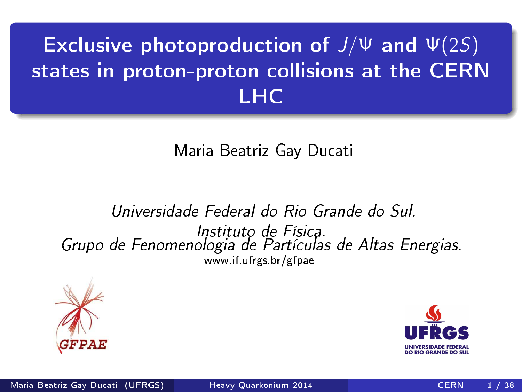# Exclusive photoproduction of  $J/\Psi$  and  $\Psi(2S)$ states in proton-proton collisions at the CERN LHC

Maria Beatriz Gay Ducati

Universidade Federal do Rio Grande do Sul. Instituto de Física. Instituto de Físi
a. Grupo de Fenomenologia de Partí
ulas de Altas Energias. www.if.ufrgs.br/gfpae



<span id="page-0-0"></span>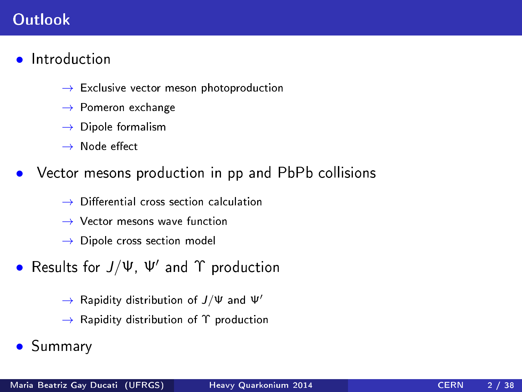# Outlook

- Introduction
	- $\rightarrow$  Exclusive vector meson photoproduction
	- $\rightarrow$  Pomeron exchange
	- $\rightarrow$  Dipole formalism
	- $\rightarrow$  Node effect
- Vector mesons production in pp and PbPb collisions
	- $\rightarrow$  Differential cross section calculation
	- $\rightarrow$  Vector mesons wave function
	- $\rightarrow$  Dipole cross section model
- Results for  $J/\Psi$ ,  $\Psi'$  and  $\Upsilon$  production
	- $\rightarrow$  Rapidity distribution of  $J/\Psi$  and  $\Psi'$
	- $\rightarrow$  Rapidity distribution of  $\Upsilon$  production
- Summary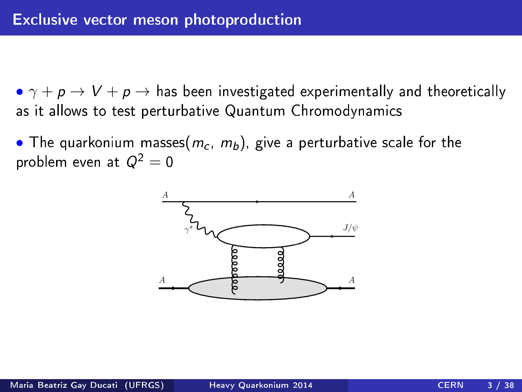•  $\gamma + p \rightarrow V + p \rightarrow$  has been investigated experimentally and theoretically as it allows to test perturbative Quantum Chromodynamics as it allows to test perturbative  $\mathcal{A}$  . The contract perturbative  $\mathcal{A}$ 

• The quarkonium masses $(m_c, m_b)$ , give a perturbative scale for the problem even at  $Q^2=0$ 

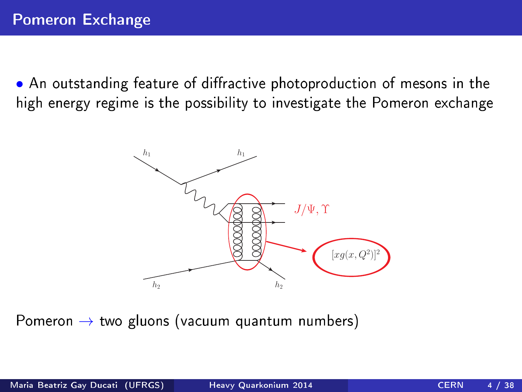• An outstanding feature of diffractive photoproduction of mesons in the high energy regime is the possibility to investigate the Pomeron ex
hange



Pomeron  $\rightarrow$  two gluons (vacuum quantum numbers)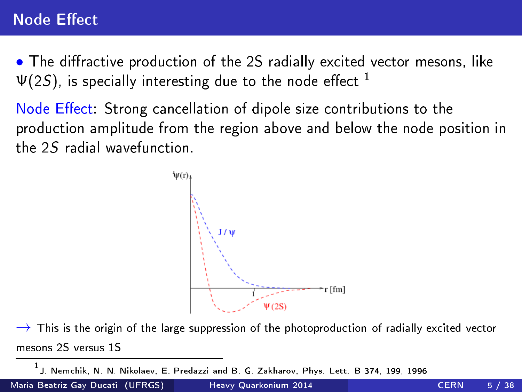# **Node Effect**

. The diffractive production of the 2S radially excited vector mesons, like  $\Psi(2S)$ , is specially interesting due to the node effect <sup>1</sup>

Node Effect: Strong cancellation of dipole size contributions to the Node Ee
t: Strong an
ellation of dipole size ontributions to the produ
tion amplitude from the region above and below the node position in the 25 radial wavefunction



 $\rightarrow$  This is the origin of the large suppression of the photoproduction of radially excited vector mesons 25 versus 15

1 J. Nem
hik, N. N. Nikolaev, E. Predazzi and B. G. Zakharov, Phys. Lett. B 374, 199, 1996

Maria Beatriz Gay Ducati (UFRGS) and Heavy [Quarkonium](#page-0-0) 2014 and CERN 5 / 38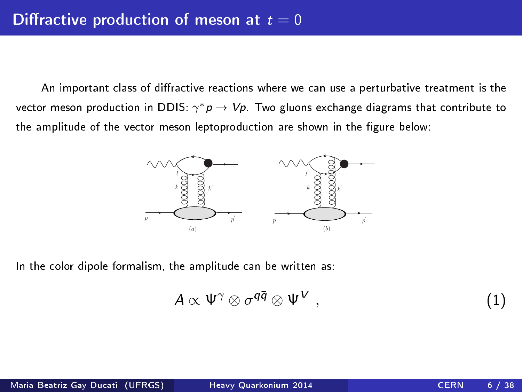An important class of diffractive reactions where we can use a perturbative treatment is the vector meson production in DDIS:  $\gamma^* p \to V p$ . Two gluons exchange diagrams that contribute to the amplitude of the vector meson leptoproduction are shown in the figure below:



In the color dipole formalism, the amplitude can be written as:

$$
A \propto \Psi^{\gamma} \otimes \sigma^{q\bar{q}} \otimes \Psi^{V} , \qquad (1)
$$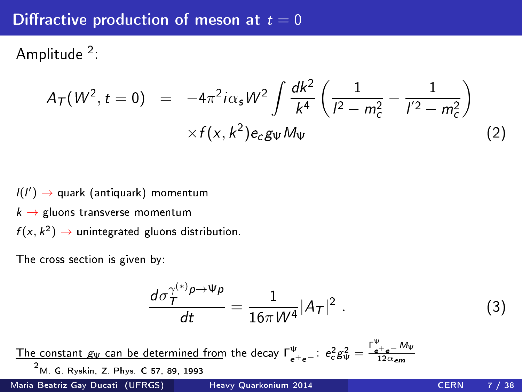#### Diffractive production of meson at  $t = 0$

Amplitude .

$$
A_{\mathcal{T}}(W^2, t=0) = -4\pi^2 i \alpha_s W^2 \int \frac{dk^2}{k^4} \left( \frac{1}{l^2 - m_c^2} - \frac{1}{l'^2 - m_c^2} \right) \times f(x, k^2) e_c g_{\Psi} M_{\Psi}
$$
 (2)

 $l(l') \rightarrow$  quark (antiquark) momentum  $k \rightarrow$  gluons transverse momentum  $f(x, k^2) \rightarrow$  unintegrated gluons distribution.

The cross section is given by

$$
\frac{d\sigma_T^{\gamma^{(*)}\rho \to \Psi\rho}}{dt} = \frac{1}{16\pi W^4} |A_T|^2 \ . \tag{3}
$$

The constant  $g_\Psi$  can be determined from the decay  $\Gamma^\Psi_{e^+e^-}$ :  $e_c^2 g_\Psi^2 = \frac{\Gamma^\Psi_{e^+e^-} M_\Psi}{12\alpha_{\bf e m}}$ 2 M. G. Ryskin, Z. Phys. C 57, 89, 1993 Maria Beatriz Gay Ducati (UFRGS) and Heavy [Quarkonium](#page-0-0) 2014 and CERN 7 / 38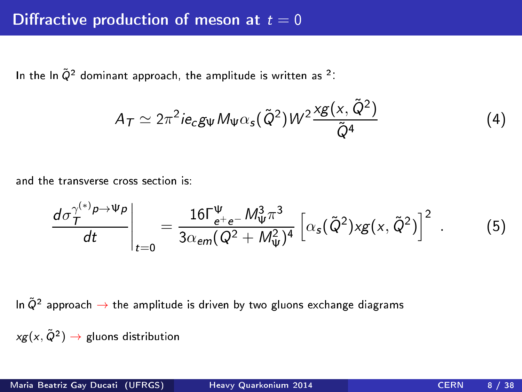In the  $\ln \tilde{Q}^2$  dominant approach, the amplitude is written as  $^2$  :

$$
A_T \simeq 2\pi^2 i e_c g_{\Psi} M_{\Psi} \alpha_s (\tilde{Q}^2) W^2 \frac{\chi g(x, \tilde{Q}^2)}{\tilde{Q}^4}
$$
 (4)

and the transverse cross section is

$$
\left. \frac{d\sigma_{\mathcal{T}}^{\gamma^{(*)}p \to \Psi p}}{dt} \right|_{t=0} = \frac{16\Gamma_{e^+e^-}^{\Psi} M_{\Psi}^3 \pi^3}{3\alpha_{em}(Q^2 + M_{\Psi}^2)^4} \left[ \alpha_s(\tilde{Q}^2) \times g(x, \tilde{Q}^2) \right]^2 \ . \tag{5}
$$

 $\ln\tilde{Q}^2$  approach  $\rightarrow$  the amplitude is driven by two gluons exchange diagrams

 $xg(x,\tilde{Q}^2)\rightarrow$  gluons distribution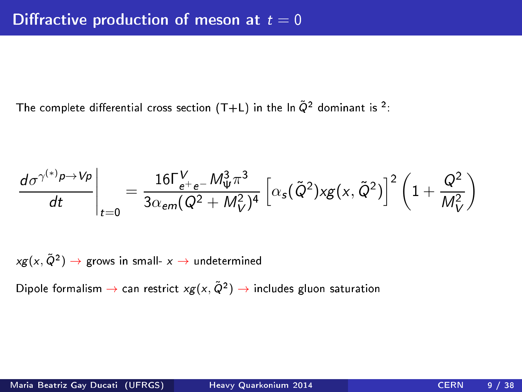The complete differential cross section (T+L) in the In  $\tilde{Q}^2$  dominant is  $^2$ :

$$
\left. \frac{d\sigma^{\gamma^{(*)}\rho \to V\rho}}{dt} \right|_{t=0} = \frac{16\Gamma_{e^+e^-}^V M_W^3 \pi^3}{3\alpha_{em}(Q^2 + M_V^2)^4} \left[ \alpha_s(\tilde{Q}^2) \times g(x, \tilde{Q}^2) \right]^2 \left( 1 + \frac{Q^2}{M_V^2} \right)
$$

 $\mathsf{x} g ( \mathsf{x} , \tilde{\mathsf{Q}}^2 ) \to \mathsf{g}$ rows in small-  $\mathsf{x} \to \mathsf{undetermined}$ 

Dipole formalism  $\to$  can restrict  $xg(x,\tilde{Q}^2) \to$  includes gluon saturation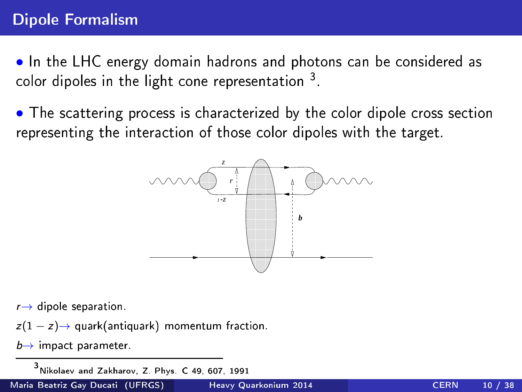• In the LHC energy domain hadrons and photons can be considered as color dipoles in the light colle representation  $\,$  .

• The scattering process is characterized by the color dipole cross section representing the interaction of those color dipoles with the target. representing the intera
tion of those olor dipoles with the target.



 $r \rightarrow$  dipole separation.

 $z(1-z) \rightarrow$  quark(antiquark) momentum fraction.

 $b \rightarrow$  impact parameter.

3 Nikolaev and Zakharov, Z. Phys. C 49, 607, 1991

Maria Beatriz Gay Ducati (UFRGS) and Heavy [Quarkonium](#page-0-0) 2014 CERN 10 / 38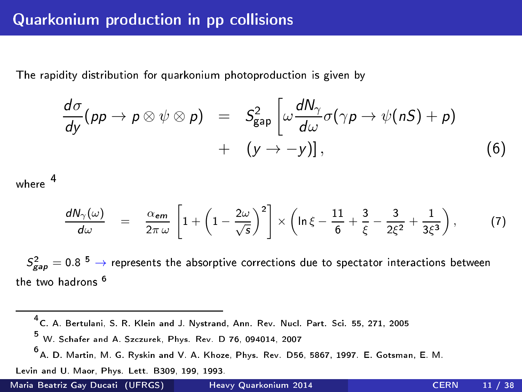### Quarkonium production in pp collisions

The rapidity distribution for quarkonium photoprodu
tion is given by

$$
\frac{d\sigma}{dy}(pp \to p \otimes \psi \otimes p) = S_{\text{gap}}^2 \left[ \omega \frac{dN_{\gamma}}{d\omega} \sigma(\gamma p \to \psi(nS) + p) + (y \to -y) \right], \tag{6}
$$

where

$$
\frac{dN_{\gamma}(\omega)}{d\omega} = \frac{\alpha_{\text{em}}}{2\pi\,\omega} \left[ 1 + \left( 1 - \frac{2\omega}{\sqrt{s}} \right)^2 \right] \times \left( \ln \xi - \frac{11}{6} + \frac{3}{\xi} - \frac{3}{2\xi^2} + \frac{1}{3\xi^3} \right), \tag{7}
$$

 $S^2_{\sf gap} =$  0.8  $^{\sf b}$   $\rightarrow$  represents the absorptive corrections due to spectator interactions between the two hadrons <sup>6</sup>

4 C. A. Bertulani, S. R. Klein and J. Nystrand, Ann. Rev. Nu
l. Part. S
i. 55, 271, 2005 5 W. S
hafer and A. Sz
zurek, Phys. Rev. D 76, 094014, 2007 6 A. D. Martin, M. G. Ryskin and V. A. Khoze, Phys. Rev. D56, 5867, 1997. E. Gotsman, E. M. Levin and U. Maor. Phys. Lett. B309, 199, 1993. Levin and U. Maor, Phys. Lett. B309, 199, 1993.

Maria Beatriz Gay Ducati (UFRGS) and Heavy [Quarkonium](#page-0-0) 2014 CERN 11 / 38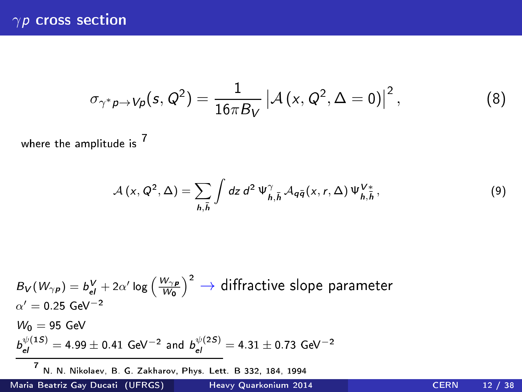$$
\sigma_{\gamma^* p \to V p}(s, Q^2) = \frac{1}{16\pi B_V} \left| \mathcal{A}(x, Q^2, \Delta = 0) \right|^2, \tag{8}
$$

where the amplitude is <sup>7</sup>

$$
\mathcal{A}(x, Q^2, \Delta) = \sum_{h,\bar{h}} \int dz \, d^2 \, \Psi^{\gamma}_{h,\bar{h}} \, \mathcal{A}_{q\bar{q}}(x, r, \Delta) \, \Psi^{\, V*}_{h,\bar{h}} \,, \tag{9}
$$

$$
B_V(W_{\gamma p}) = b_{el}^V + 2\alpha' \log \left(\frac{W_{\gamma p}}{W_0}\right)^2 \rightarrow \text{diffractive slope parameter}
$$
\n
$$
\alpha' = 0.25 \text{ GeV}^{-2}
$$
\n
$$
W_0 = 95 \text{ GeV}
$$
\n
$$
b_{el}^{\psi(1S)} = 4.99 \pm 0.41 \text{ GeV}^{-2} \text{ and } b_{el}^{\psi(2S)} = 4.31 \pm 0.73 \text{ GeV}^{-2}
$$
\n
$$
\frac{V_{el}(1S)}{V_{el} \cdot N_{el} \cdot N_{el} \cdot N_{el}} = 6.73 \text{ GeV}^{-2}
$$
\n
$$
V_{el} = 332 \text{ GeV}^{-2}
$$

Maria Beatriz Gay Ducati (UFRGS) Heavy [Quarkonium](#page-0-0) 2014 CERN 12 / 38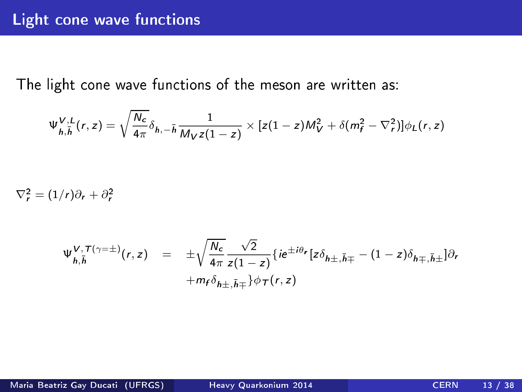The light cone wave functions of the meson are written as:

$$
\Psi_{h,\bar{h}}^{V,L}(r,z)=\sqrt{\frac{N_c}{4\pi}}\delta_{h,-\bar{h}}\frac{1}{M_Vz(1-z)}\times[z(1-z)M_V^2+\delta(m_f^2-\nabla_r^2)]\phi_L(r,z)
$$

 $\nabla_r^2 = (1/r)\partial_r + \partial_r^2$ 

$$
\Psi_{h,\bar{h}}^{V,T(\gamma=\pm)}(r,z) = \pm \sqrt{\frac{N_c}{4\pi}} \frac{\sqrt{2}}{z(1-z)} \{ie^{\pm i\theta_r}[z\delta_{h\pm,\bar{h}\mp} - (1-z)\delta_{h\mp,\bar{h}\pm}]\partial_r + m_f\delta_{h\pm,\bar{h}\mp} \} \phi_T(r,z)
$$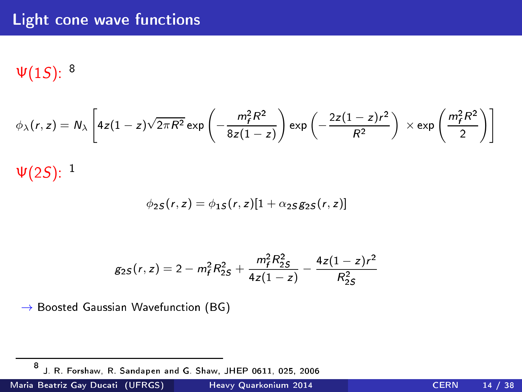# Light cone wave functions

 $\Psi(1S)$ :  $^8$ 

$$
\phi_{\lambda}(r,z) = N_{\lambda} \left[ 4z(1-z)\sqrt{2\pi R^2} \exp\left(-\frac{m_f^2 R^2}{8z(1-z)}\right) \exp\left(-\frac{2z(1-z)r^2}{R^2}\right) \right] \times \exp\left(\frac{m_f^2 R^2}{2}\right) \right]
$$

 $\Psi(2S)^{[-1]}$ 

$$
\phi_{2S}(r, z) = \phi_{1S}(r, z)[1 + \alpha_{2S}g_{2S}(r, z)]
$$

$$
g_{2S}(r, z) = 2 - m_f^2 R_{2S}^2 + \frac{m_f^2 R_{2S}^2}{4z(1-z)} - \frac{4z(1-z)r^2}{R_{2S}^2}
$$

 $\rightarrow$  Boosted Gaussian Wavefunction (BG)

Maria Beatriz Gay Ducati (UFRGS) Heavy [Quarkonium](#page-0-0) 2014 CERN 14 / 38

<sup>8</sup> J. R. Forshaw, R. Sandapen and G. Shaw, JHEP 0611, 025, 2006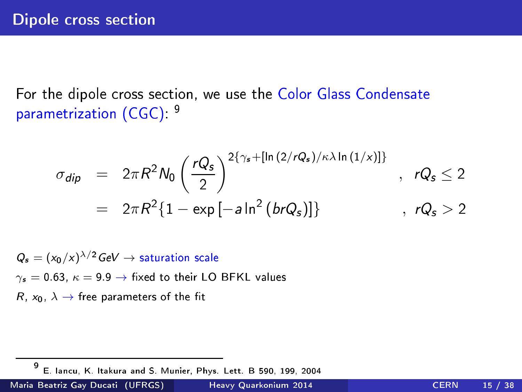For the dipole cross section, we use the Color Glass Condensate parametrization (CGC) –

$$
\sigma_{dip} = 2\pi R^2 N_0 \left(\frac{rQ_s}{2}\right)^{2\{\gamma_s + [\ln(2/rQ_s)/\kappa\lambda \ln(1/x)]\}}, rQ_s \le 2
$$
  
=  $2\pi R^2 \{1 - \exp[-a\ln^2(brQ_s)]\}$ ,  $rQ_s > 2$ 

 $Q_s = (x_0/x)^{\lambda/2}$  GeV  $\rightarrow$  saturation scale  $\gamma_s = 0.63$ ,  $\kappa = 9.9 \rightarrow$  fixed to their LO BFKL values  $R$ ,  $x_0$ ,  $\lambda \rightarrow$  free parameters of the fit

-9 E. Jancu. K. Itakura and S. Munier. Phys. Lett. B 590, 199, 2004 E. Ian
u, K. Itakura and S. Munier, Phys. Lett. B 590, 199, 2004

Maria Beatriz Gay Ducati (UFRGS) Heavy [Quarkonium](#page-0-0) 2014 CERN 15 / 38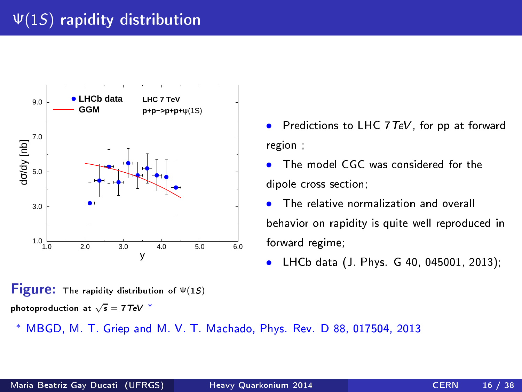



MBGD, M. T. Griep and M. V. T. Machado, Phys. Rev. D 88, 017504, 2013

- Predictions to LHC 7 TeV, for pp at forward region ;
- The model CGC was considered for the dipole cross section;
- **•** The relative normalization and overall behavior on rapidity is quite well reproduced in forward regime;
- LHCb data (J. Phys. G 40, 045001, 2013);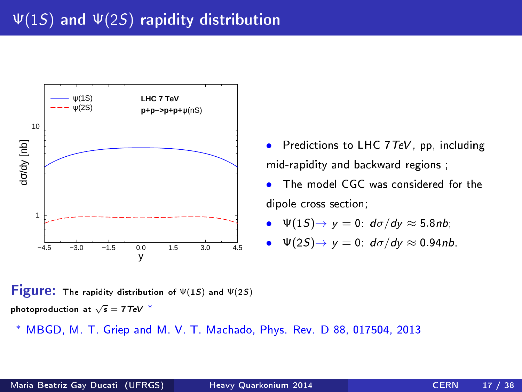

- Predictions to LHC  $7 \text{ TeV}$ , pp, including mid-rapidity and ba
kward regions ;
- The model CGC was considered for the dipole cross section;

• 
$$
\Psi(1S) \rightarrow y = 0
$$
:  $d\sigma/dy \approx 5.8nb$ ;

• 
$$
\Psi(2S) \rightarrow y = 0
$$
:  $d\sigma/dy \approx 0.94 nb$ .

**Figure:** The rapidity distribution of  $\Psi(1S)$  and  $\Psi(2S)$ photoproduction at  $\sqrt{s} = 7 \text{ TeV}$  \*

MBGD, M. T. Griep and M. V. T. Machado, Phys. Rev. D 88, 017504, 2013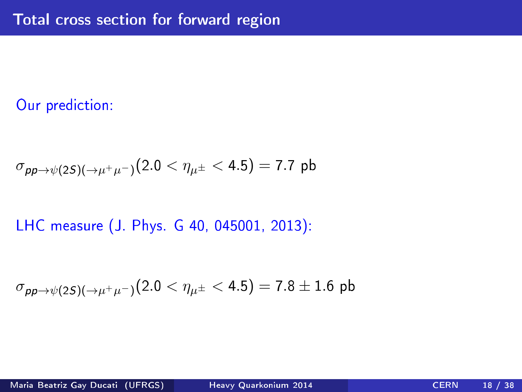# Our prediction:

$$
\sigma_{\rho\rho \to \psi(2S)(\to \mu^+\mu^-)}(2.0 < \eta_{\mu^\pm} < 4.5) = 7.7 \, \text{pb}
$$

# LHC measure (J. Phys. G 40, 045001, 2013):

$$
\sigma_{\rho\rho\to\psi(2S)(\to\mu^+\mu^-)}(2.0<\eta_{\mu^\pm}<4.5)=7.8\pm1.6\,\,{\rm pb}
$$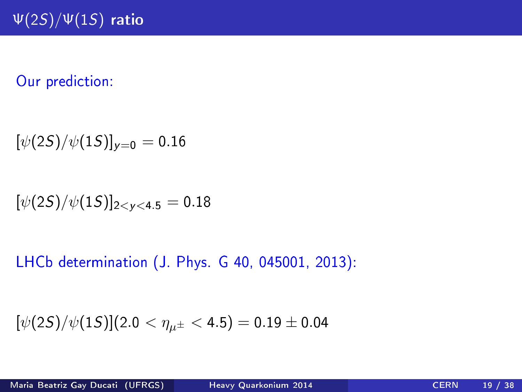# Our prediction:

$$
[\psi(2S)/\psi(1S)]_{y=0}=0.16
$$

$$
[\psi(2S)/\psi(1S)]_{2< y<4.5}=0.18
$$

LHCb determination (J. Phys. G 40, 045001, 2013):

$$
[\psi(2S)/\psi(1S)](2.0 < \eta_{\mu^{\pm}} < 4.5) = 0.19 \pm 0.04
$$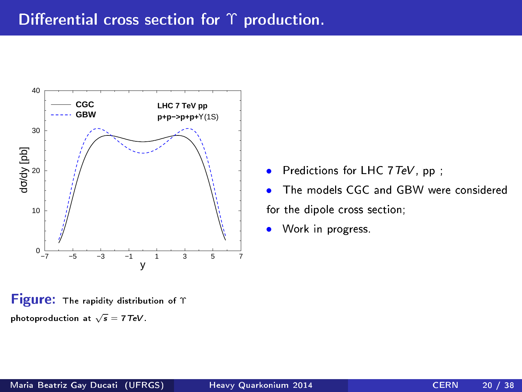

**Figure:** The rapidity distribution of Υ photoproduction at  $\sqrt{s} = 7 \text{ TeV}$ .

- Predictions for LHC  $7 \text{ TeV}$ , pp;
- The models CGC and GBW were considered for the dipole cross section;
- Work in progress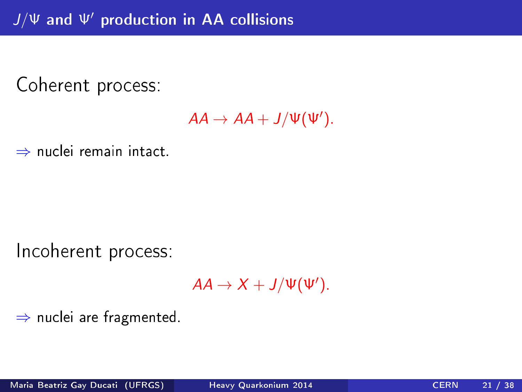Coherent process:

 $AA \rightarrow AA + J/\Psi(\Psi')$ .

⇒ nuclei remain intact.

Incoherent process:

 $AA \rightarrow X + J/\Psi(\Psi')$ .

⇒ nu
lei are fragmented.

Maria Beatriz Gay Ducati (UFRGS) Heavy [Quarkonium](#page-0-0) 2014 CERN 21 / 38

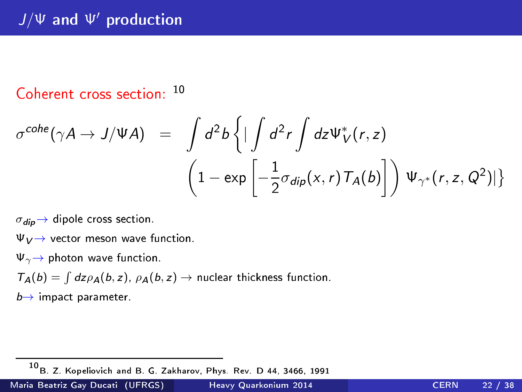# $J/\Psi$  and  $\Psi'$  production

# Coherent cross section: 10

$$
\sigma^{cobe}(\gamma A \to J/\Psi A) = \int d^2b \left\{ \left| \int d^2r \int dz \Psi_V^*(r, z) \right. \\ \left. \left( 1 - \exp \left[ -\frac{1}{2} \sigma_{dip}(x, r) \mathcal{T}_A(b) \right] \right) \Psi_{\gamma^*}(r, z, Q^2) \right| \right\}
$$

 $\sigma_{\text{dip}} \rightarrow$  dipole cross section.

 $\Psi_V \rightarrow$  vector meson wave function.

 $\Psi_{\gamma} \rightarrow$  photon wave function.

 $T_A(b) = \int dz \rho_A(b, z)$ ,  $\rho_A(b, z) \rightarrow$  nuclear thickness function.

 $b \rightarrow$  impact parameter.

10B. Z. Kopeliovi
h and B. G. Zakharov, Phys. Rev. D 44, 3466, 1991

Maria Beatriz Gay Ducati (UFRGS) Heavy [Quarkonium](#page-0-0) 2014 CERN 22 / 38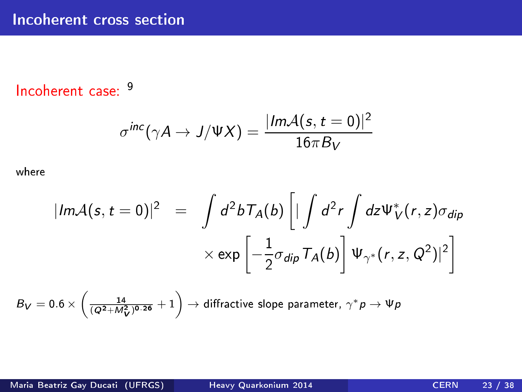# Incoherent case: 9

$$
\sigma^{inc}(\gamma A \to J/\Psi X) = \frac{|Im \mathcal{A}(s,t=0)|^2}{16\pi B_V}
$$

where

$$
|Im A(s, t = 0)|^2 = \int d^2 b T_A(b) \left[ |\int d^2 r \int dz \Psi_V^*(r, z) \sigma_{dip} \right]
$$

$$
\times \exp \left[ -\frac{1}{2} \sigma_{dip} T_A(b) \right] \Psi_{\gamma^*}(r, z, Q^2)|^2 \right]
$$

$$
B_V=0.6\times\left(\frac{14}{(Q^2+M^2_V)^{0.26}}+1\right)\to\text{diffractive slope parameter, }\gamma^*p\to\Psi p
$$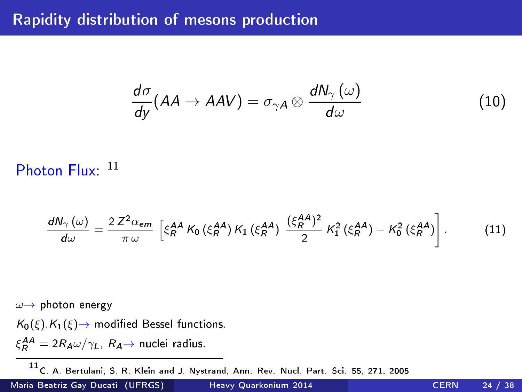# Rapidity distribution of mesons production

$$
\frac{d\sigma}{dy}(AA \to AAV) = \sigma_{\gamma A} \otimes \frac{dN_{\gamma}(\omega)}{d\omega}
$$
(10)

Photon Flux: 11

$$
\frac{dN_{\gamma}(\omega)}{d\omega} = \frac{2 Z^{2} \alpha_{em}}{\pi \omega} \left[ \xi_{R}^{AA} K_{0} (\xi_{R}^{AA}) K_{1} (\xi_{R}^{AA}) \frac{(\xi_{R}^{AA})^{2}}{2} K_{1}^{2} (\xi_{R}^{AA}) - K_{0}^{2} (\xi_{R}^{AA}) \right].
$$
 (11)

 $\omega \rightarrow$  photon energy

 $K_0(\xi), K_1(\xi) \rightarrow$  modified Bessel functions.

 $\xi_R^{AA} = 2R_A\omega/\gamma_L$ ,  $R_A \rightarrow$  nuclei radius.

11 C. A. Bertulani, S. R. Klein and J. Nystrand, Ann. Rev. Nucl. Part. Sci. 55, 271, 2005

Maria Beatriz Gay Ducati (UFRGS) and Heavy [Quarkonium](#page-0-0) 2014 CERN 24 / 38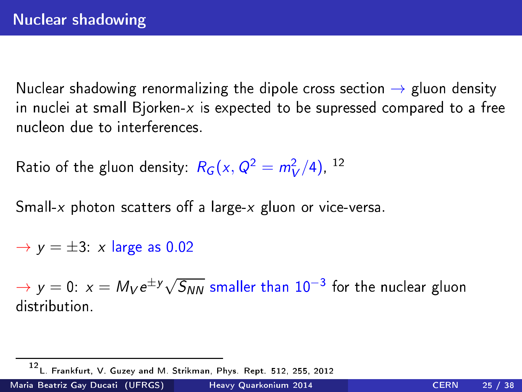Nuclear shadowing renormalizing the dipole cross section  $\rightarrow$  gluon density<br>in nuclei at small Bjorken-x is expected to be supressed compared to a free in nu
lei at small Bjorken-x is expe
ted to be supressed ompared to a free nucleon due to interferences

Ratio of the gluon density:  $R_G(x,Q^2=m_V^2/4)$ ,  $^{12}$ 

Small-x photon scatters off a large-x gluon or vice-versa.

 $\rightarrow$  y =  $\pm$ 3: x large as 0.02

 $\rightarrow$  y  $=$  0:  $x = M_V e^{\pm y} \sqrt{S_{NN}}$  smaller than  $10^{-3}$  for the nuclear gluon

Maria Beatriz Gay Ducati (UFRGS) Heavy [Quarkonium](#page-0-0) 2014 CERN 25 / 38

<sup>12&</sup>lt;br>L. Frankfurt, V. Guzey and M. Strikman, Phys. Rept. 512, 255, 2012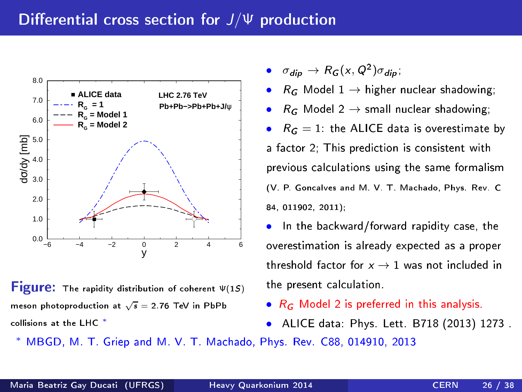

**Figure:** The rapidity distribution of coherent  $Ψ(15)$ meson photoproduction at  $\sqrt{s} = 2.76$  TeV in PbPb ollisions at the LHC <sup>∗</sup>

- $\sigma_{dip} \rightarrow R_G(x, Q^2) \sigma_{dip}$ ;
- $R_G$  Model 1  $\rightarrow$  higher nuclear shadowing;
- $R_G$  Model 2  $\rightarrow$  small nuclear shadowing;
- $R_G = 1$ : the ALICE data is overestimate by a factor 2: This prediction is consistent with a family consistent with the construction in the construction of the construction of the construction of the c previous calculations using the same formalism (V. P. Gon
alves and M. V. T. Ma
hado, Phys. Rev. C 84, 011902, 2011);
- In the backward/forward rapidity case, the overestimation is already expected as a proper threshold factor for  $x \rightarrow 1$  was not included in the present calculation.
- $R_G$  Model 2 is preferred in this analysis.
- ALICE data: Phys. Lett. B718 (2013) 1273 .
- MBGD, M. T. Griep and M. V. T. Machado, Phys. Rev. C88, 014910, 2013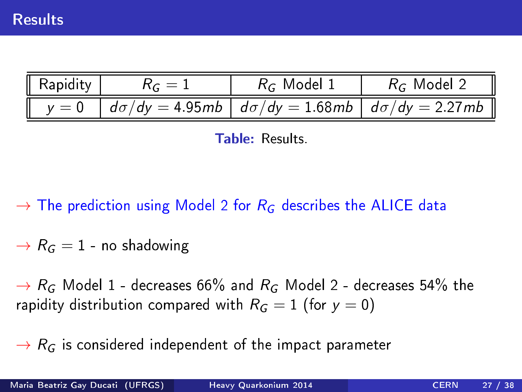| $\overline{\phantom{a}}$ Rapidity $\overline{\phantom{a}}$ | $R_G=1$ | $R_G$ Model 1 | $R_G$ Model 2                                                                                 |
|------------------------------------------------------------|---------|---------------|-----------------------------------------------------------------------------------------------|
|                                                            |         |               | $\parallel$ y = 0 $\mid$ do/dy = 4.95 mb $\mid$ do/dy = 1.68 mb $\mid$ do/dy = 2.27 mb $\mid$ |



 $\rightarrow$  The prediction using Model 2 for  $R_G$  describes the ALICE data

 $\rightarrow$   $R_G = 1$  - no shadowing

 $\rightarrow R_G$  Model 1 - decreases 66% and  $R_G$  Model 2 - decreases 54% the rapidity distribution compared with  $R_G = 1$  (for  $y = 0$ )

 $\rightarrow R_G$  is considered independent of the impact parameter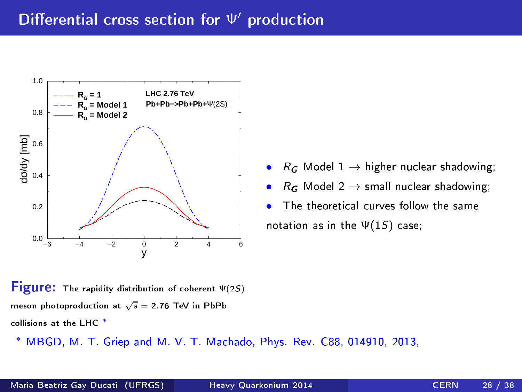

 $R_G$  Model 1  $\rightarrow$  higher nuclear shadowing;

- $R_G$  Model 2  $\rightarrow$  small nuclear shadowing;
- The theoretical curves follow the same notation as in the  $\Psi(1S)$  case;

**Figure:** The rapidity distribution of coherent  $\Psi(2S)$ meson photoproduction at  $\sqrt{s} = 2.76$  TeV in PbPb ollisions at the LHC <sup>∗</sup>

MBGD, M. T. Griep and M. V. T. Machado, Phys. Rev. C88, 014910, 2013,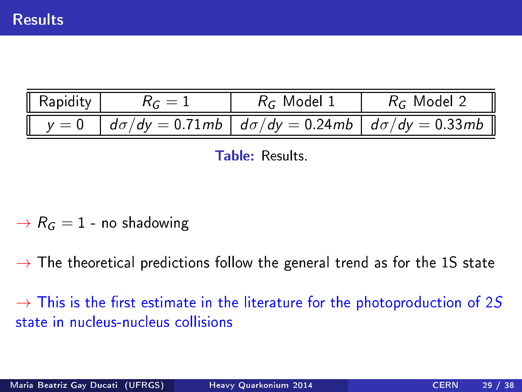| $\parallel$ Rapidity $\parallel$ | $R_c=1$ | $R_G$ Model 1 | $R_G$ Model 2                                                                                                      |
|----------------------------------|---------|---------------|--------------------------------------------------------------------------------------------------------------------|
|                                  |         |               | $\parallel$ y = 0 $\mid$ d $\sigma/dy =$ 0.71mb $\mid$ d $\sigma/dy =$ 0.24mb $\mid$ d $\sigma/dy =$ 0.33mb $\mid$ |

**Table: Results.** 

 $\rightarrow R_G = 1$  - no shadowing

 $\rightarrow$  The theoretical predictions follow the general trend as for the 1S state

 $\rightarrow$  This is the first estimate in the literature for the photoproduction of 2S state in nucleus-nucleus collisions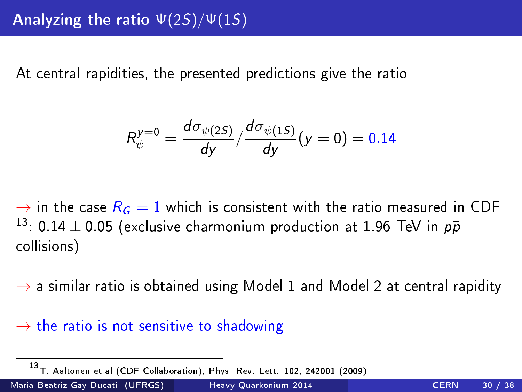At central rapidities, the presented predictions give the ratio At entral rapidities, the presented predi
tions give the ratio

$$
R_{\psi}^{y=0} = \frac{d\sigma_{\psi(2S)}}{dy} / \frac{d\sigma_{\psi(1S)}}{dy}(y=0) = 0.14
$$

 $\rightarrow$  in the case  $R_G = 1$  which is consistent with the ratio measured in CDF <sup>13</sup>: 0.14  $\pm$  0.05 (exclusive charmonium production at 1.96 TeV in  $\rho\bar{p}$  collisions) ollisions)

 $\rightarrow$  a similar ratio is obtained using Model 1 and Model 2 at central rapidity

#### $\rightarrow$  the ratio is not sensitive to shadowing

Maria Beatriz Gay Ducati (UFRGS) and Heavy [Quarkonium](#page-0-0) 2014 CERN 30 / 38

<sup>13</sup>T. Aaltonen et al (CDF Collaboration), Phys. Rev. Lett. 102, 242001 (2009)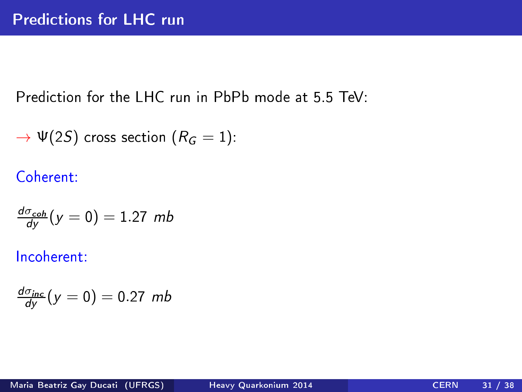Prediction for the LHC run in PbPb mode at 5.5 TeV:

$$
\rightarrow \Psi(2S) \text{ cross section } (R_G = 1):
$$

Coherent:

$$
\frac{d\sigma_{coh}}{dy}(y=0)=1.27\ mb
$$

Incoherent:

$$
\frac{d\sigma_{inc}}{dy}(y=0)=0.27 \ mb
$$

Maria Beatriz Gay Ducati (UFRGS) Heavy [Quarkonium](#page-0-0) 2014 CERN 31 / 38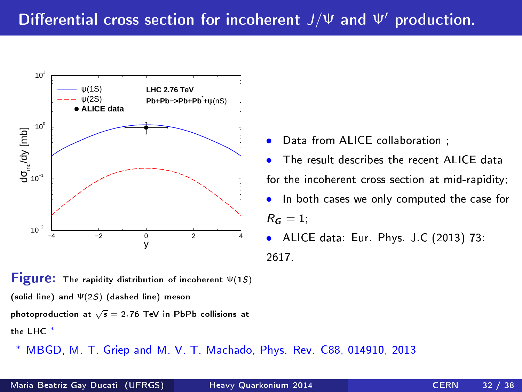

**Figure:** The rapidity distribution of incoherent  $Ψ(15)$ (solid line) and Ψ(2S) (dashed line) meson

photoproduction at  $\sqrt{s} = 2.76$  TeV in PbPb collisions at the LHC <sup>∗</sup>

∗ MBGD, M. T. Griep and M. V. T. Ma
hado, Phys. Rev. C88, 014910, 2013

- Data from ALICE collaboration :
- The result describes the recent ALICE data for the incoherent cross section at mid-rapidity;
- In both cases we only computed the case for  $R_G = 1$ ;
- ALICE data: Eur. Phys. J.C (2013) 73: 2617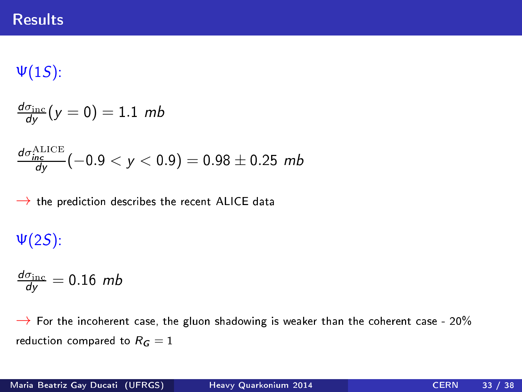#### **Results**

 $\Psi(1S)$ :

$$
\frac{d\sigma_{\rm inc}}{dy}(y=0)=1.1\,\,mb
$$

$$
\tfrac{d\sigma_{\rm inc}^{\rm ALICE}}{dy}(-0.9 < y < 0.9) = 0.98 \pm 0.25 \text{ mb}
$$

 $\rightarrow$  the prediction describes the recent ALICE data

 $\Psi(2S)$ :

$$
\frac{d\sigma_{\rm inc}}{dy}=0.16\ \textit{mb}
$$

 $\rightarrow$  For the incoherent case, the gluon shadowing is weaker than the coherent case - 20% reduction compared to  $R_G = 1$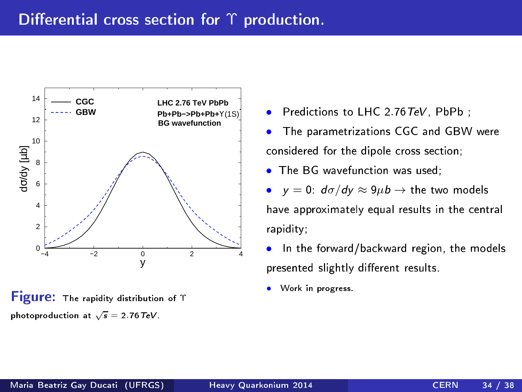

**Figure:** The rapidity distribution of Υ photoproduction at  $\sqrt{s} = 2.76 \text{ TeV}$ .

- Predictions to LHC 2.76 TeV. PbPb:
- The parametrizations CGC and GBW were considered for the dipole cross section;
- The BG wavefunction was used:
- $y = 0$ :  $d\sigma/dy \approx 9\mu b \rightarrow$  the two models have approximately equal results in the entral rapidity;
- In the forward/backward region, the models presented slightly different results.
- Work in progress.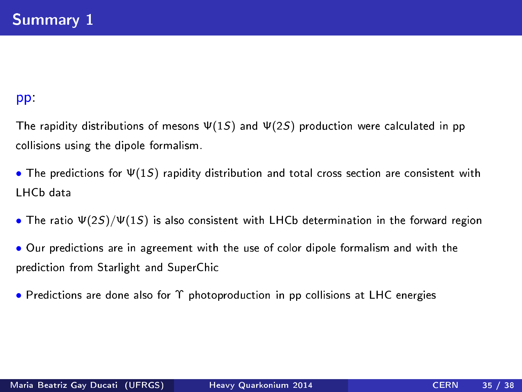#### pp:

The rapidity distributions of mesons  $\Psi(1S)$  and  $\Psi(2S)$  production were calculated in pp ollisions using the dipole formalism.

- The predictions for  $\Psi(1S)$  rapidity distribution and total cross section are consistent with LHCb data
- The ratio  $\Psi(2S)/\Psi(1S)$  is also consistent with LHCb determination in the forward region
- Our predictions are in agreement with the use of color dipole formalism and with the predi
tion from Starlight and SuperChi
- Predictions are done also for  $\Upsilon$  photoproduction in pp collisions at LHC energies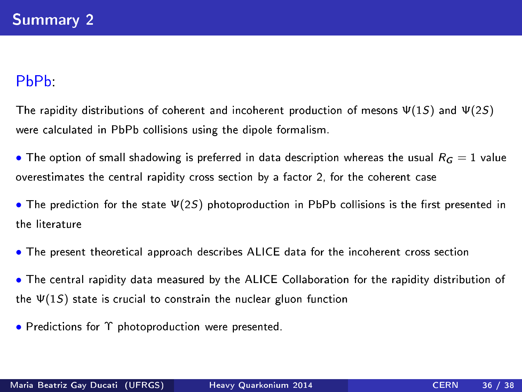#### $PbPb$

The rapidity distributions of coherent and incoherent production of mesons  $\Psi(1S)$  and  $\Psi(2S)$ were calculated in PbPb collisions using the dipole formalism.

• The option of small shadowing is preferred in data description whereas the usual  $R_G = 1$  value overestimates the entral rapidity ross se
tion by a fa
tor 2, for the oherent ase

• The prediction for the state  $\Psi(2S)$  photoproduction in PbPb collisions is the first presented in the literature

• The present theoretical approach describes ALICE data for the incoherent cross section

• The entral rapidity data measured by the ALICE Collaboration for the rapidity distribution of the  $\Psi(1S)$  state is crucial to constrain the nuclear gluon function

• Predictions for Υ photoproduction were presented.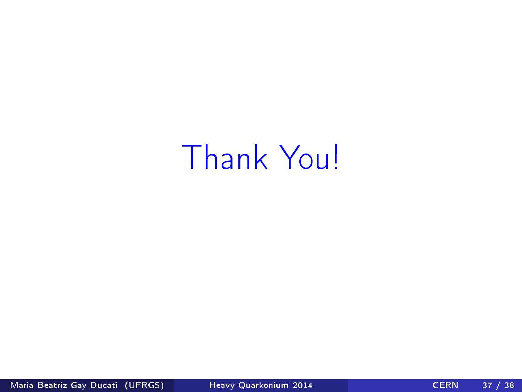# Thank You!